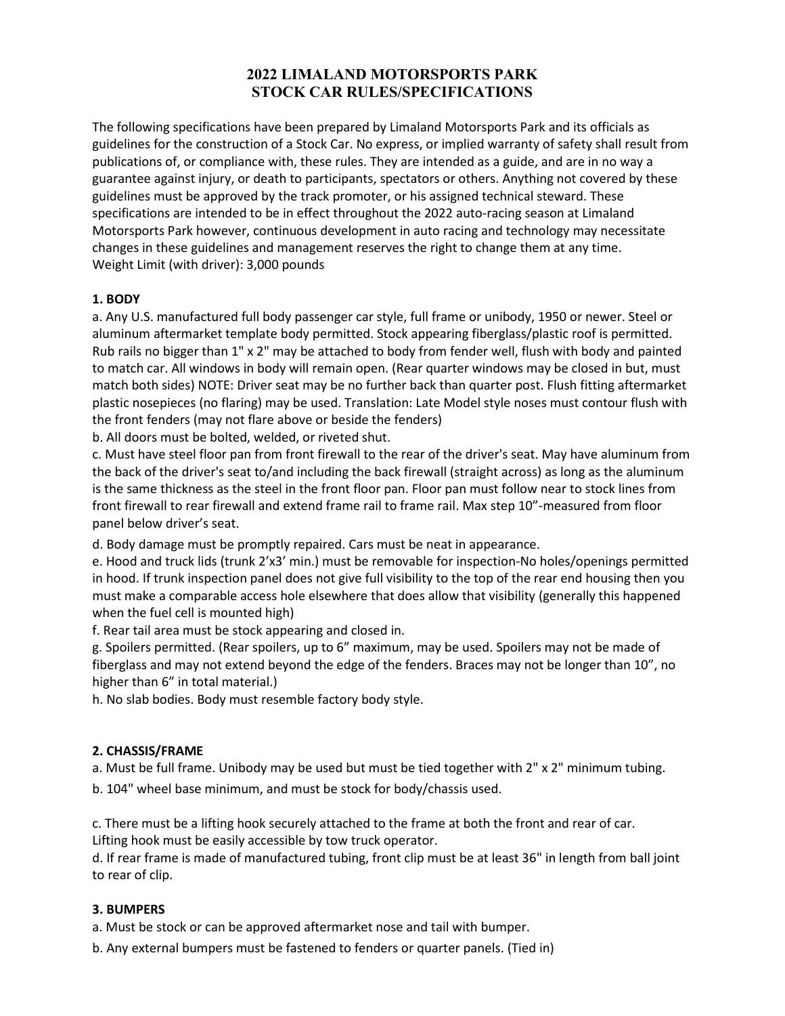# **2022 LIMALAND MOTORSPORTS PARK STOCK CAR RULES/SPECIFICATIONS**

The following specifications have been prepared by Limaland Motorsports Park and its officials as guidelines for the construction of a Stock Car. No express, or implied warranty of safety shall result from publications of, or compliance with, these rules. They are intended as a guide, and are in no way a guarantee against injury, or death to participants, spectators or others. Anything not covered by these guidelines must be approved by the track promoter, or his assigned technical steward. These specifications are intended to be in effect throughout the 2022 auto-racing season at Limaland Motorsports Park however, continuous development in auto racing and technology may necessitate changes in these guidelines and management reserves the right to change them at any time. Weight Limit (with driver): 3,000 pounds

# **1. BODY**

a. Any U.S. manufactured full body passenger car style, full frame or unibody, 1950 or newer. Steel or aluminum aftermarket template body permitted. Stock appearing fiberglass/plastic roof is permitted. Rub rails no bigger than 1" x 2" may be attached to body from fender well, flush with body and painted to match car. All windows in body will remain open. (Rear quarter windows may be closed in but, must match both sides) NOTE: Driver seat may be no further back than quarter post. Flush fitting aftermarket plastic nosepieces (no flaring) may be used. Translation: Late Model style noses must contour flush with the front fenders (may not flare above or beside the fenders)

b. All doors must be bolted, welded, or riveted shut.

c. Must have steel floor pan from front firewall to the rear of the driver's seat. May have aluminum from the back of the driver's seat to/and including the back firewall (straight across) as long as the aluminum is the same thickness as the steel in the front floor pan. Floor pan must follow near to stock lines from front firewall to rear firewall and extend frame rail to frame rail. Max step 10"-measured from floor panel below driver's seat.

d. Body damage must be promptly repaired. Cars must be neat in appearance.

e. Hood and truck lids (trunk 2'x3' min.) must be removable for inspection-No holes/openings permitted in hood. If trunk inspection panel does not give full visibility to the top of the rear end housing then you must make a comparable access hole elsewhere that does allow that visibility (generally this happened when the fuel cell is mounted high)

f. Rear tail area must be stock appearing and closed in.

g. Spoilers permitted. (Rear spoilers, up to 6" maximum, may be used. Spoilers may not be made of fiberglass and may not extend beyond the edge of the fenders. Braces may not be longer than 10", no higher than 6" in total material.)

h. No slab bodies. Body must resemble factory body style.

# **2. CHASSIS/FRAME**

a. Must be full frame. Unibody may be used but must be tied together with 2" x 2" minimum tubing.

b. 104" wheel base minimum, and must be stock for body/chassis used.

c. There must be a lifting hook securely attached to the frame at both the front and rear of car. Lifting hook must be easily accessible by tow truck operator.

d. If rear frame is made of manufactured tubing, front clip must be at least 36" in length from ball joint to rear of clip.

# **3. BUMPERS**

a. Must be stock or can be approved aftermarket nose and tail with bumper.

b. Any external bumpers must be fastened to fenders or quarter panels. (Tied in)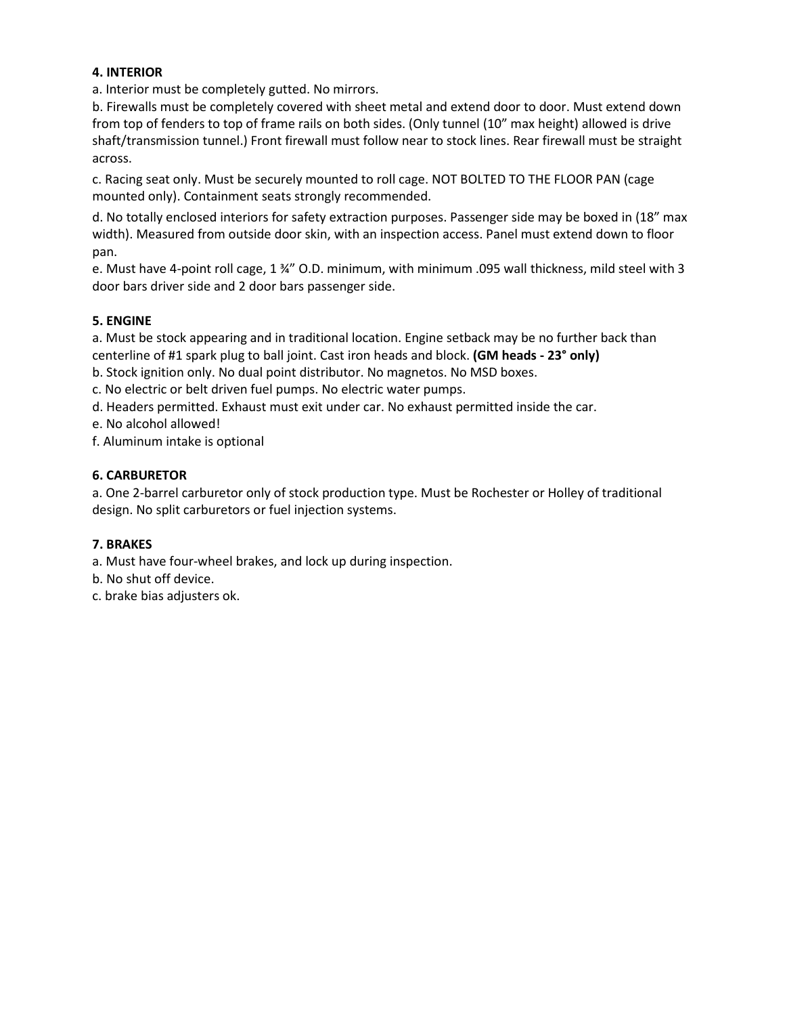# **4. INTERIOR**

a. Interior must be completely gutted. No mirrors.

b. Firewalls must be completely covered with sheet metal and extend door to door. Must extend down from top of fenders to top of frame rails on both sides. (Only tunnel (10" max height) allowed is drive shaft/transmission tunnel.) Front firewall must follow near to stock lines. Rear firewall must be straight across.

c. Racing seat only. Must be securely mounted to roll cage. NOT BOLTED TO THE FLOOR PAN (cage mounted only). Containment seats strongly recommended.

d. No totally enclosed interiors for safety extraction purposes. Passenger side may be boxed in (18" max width). Measured from outside door skin, with an inspection access. Panel must extend down to floor pan.

e. Must have 4-point roll cage, 1 ¾" O.D. minimum, with minimum .095 wall thickness, mild steel with 3 door bars driver side and 2 door bars passenger side.

# **5. ENGINE**

a. Must be stock appearing and in traditional location. Engine setback may be no further back than centerline of #1 spark plug to ball joint. Cast iron heads and block. **(GM heads - 23° only)**

b. Stock ignition only. No dual point distributor. No magnetos. No MSD boxes.

c. No electric or belt driven fuel pumps. No electric water pumps.

d. Headers permitted. Exhaust must exit under car. No exhaust permitted inside the car.

e. No alcohol allowed!

f. Aluminum intake is optional

# **6. CARBURETOR**

a. One 2-barrel carburetor only of stock production type. Must be Rochester or Holley of traditional design. No split carburetors or fuel injection systems.

#### **7. BRAKES**

a. Must have four-wheel brakes, and lock up during inspection.

b. No shut off device.

c. brake bias adjusters ok.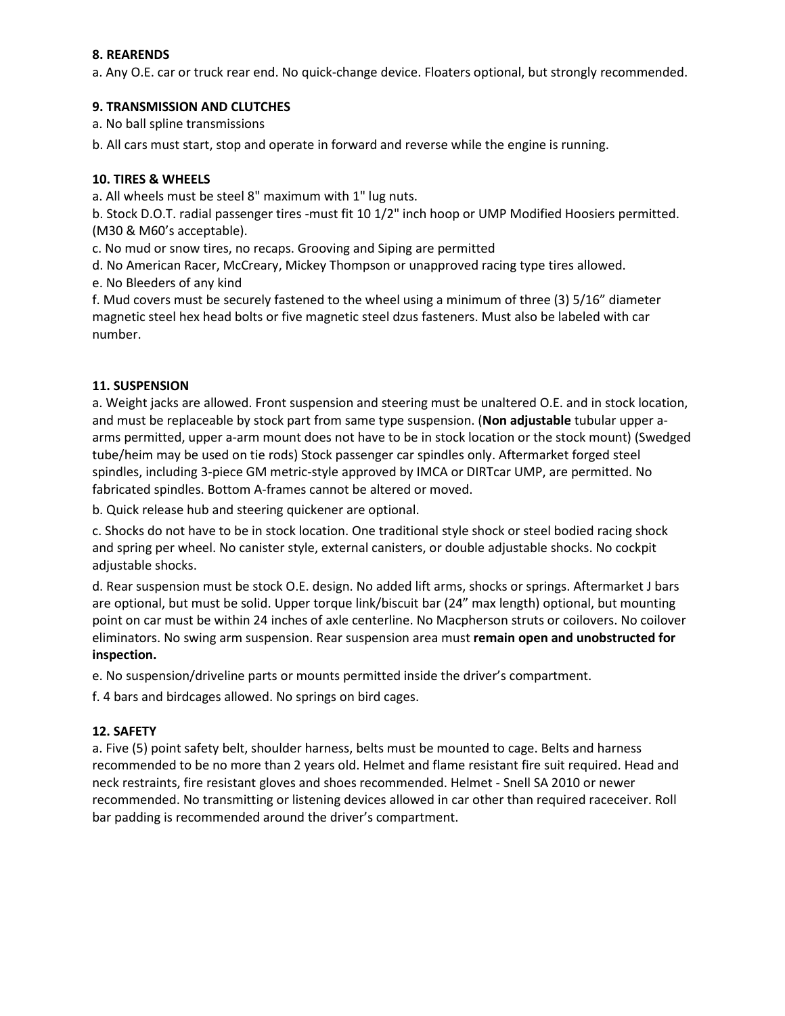#### **8. REARENDS**

a. Any O.E. car or truck rear end. No quick-change device. Floaters optional, but strongly recommended.

#### **9. TRANSMISSION AND CLUTCHES**

a. No ball spline transmissions

b. All cars must start, stop and operate in forward and reverse while the engine is running.

#### **10. TIRES & WHEELS**

a. All wheels must be steel 8" maximum with 1" lug nuts.

b. Stock D.O.T. radial passenger tires -must fit 10 1/2" inch hoop or UMP Modified Hoosiers permitted. (M30 & M60's acceptable).

c. No mud or snow tires, no recaps. Grooving and Siping are permitted

d. No American Racer, McCreary, Mickey Thompson or unapproved racing type tires allowed.

e. No Bleeders of any kind

f. Mud covers must be securely fastened to the wheel using a minimum of three (3) 5/16" diameter magnetic steel hex head bolts or five magnetic steel dzus fasteners. Must also be labeled with car number.

#### **11. SUSPENSION**

a. Weight jacks are allowed. Front suspension and steering must be unaltered O.E. and in stock location, and must be replaceable by stock part from same type suspension. (**Non adjustable** tubular upper aarms permitted, upper a-arm mount does not have to be in stock location or the stock mount) (Swedged tube/heim may be used on tie rods) Stock passenger car spindles only. Aftermarket forged steel spindles, including 3-piece GM metric-style approved by IMCA or DIRTcar UMP, are permitted. No fabricated spindles. Bottom A-frames cannot be altered or moved.

b. Quick release hub and steering quickener are optional.

c. Shocks do not have to be in stock location. One traditional style shock or steel bodied racing shock and spring per wheel. No canister style, external canisters, or double adjustable shocks. No cockpit adjustable shocks.

d. Rear suspension must be stock O.E. design. No added lift arms, shocks or springs. Aftermarket J bars are optional, but must be solid. Upper torque link/biscuit bar (24" max length) optional, but mounting point on car must be within 24 inches of axle centerline. No Macpherson struts or coilovers. No coilover eliminators. No swing arm suspension. Rear suspension area must **remain open and unobstructed for inspection.** 

e. No suspension/driveline parts or mounts permitted inside the driver's compartment.

f. 4 bars and birdcages allowed. No springs on bird cages.

#### **12. SAFETY**

a. Five (5) point safety belt, shoulder harness, belts must be mounted to cage. Belts and harness recommended to be no more than 2 years old. Helmet and flame resistant fire suit required. Head and neck restraints, fire resistant gloves and shoes recommended. Helmet - Snell SA 2010 or newer recommended. No transmitting or listening devices allowed in car other than required raceceiver. Roll bar padding is recommended around the driver's compartment.